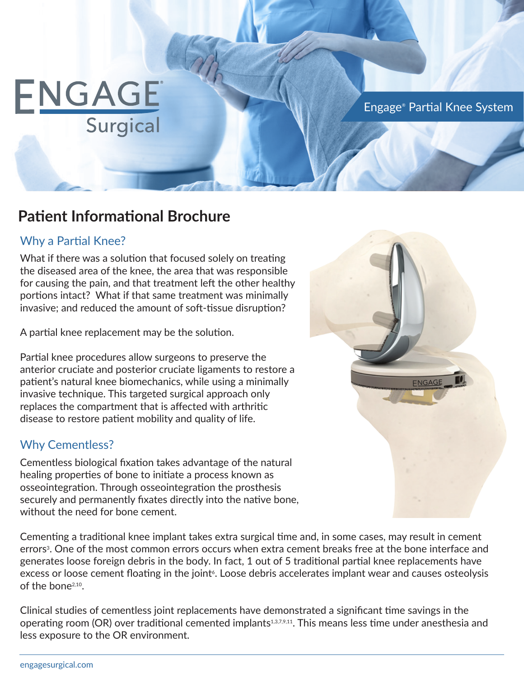# ENGAGE Surgical

Engage® Partial Knee System

# **Patient Informational Brochure**

## Why a Partial Knee?

What if there was a solution that focused solely on treating the diseased area of the knee, the area that was responsible for causing the pain, and that treatment left the other healthy portions intact? What if that same treatment was minimally invasive; and reduced the amount of soft-tissue disruption?

A partial knee replacement may be the solution.

Partial knee procedures allow surgeons to preserve the anterior cruciate and posterior cruciate ligaments to restore a patient's natural knee biomechanics, while using a minimally invasive technique. This targeted surgical approach only replaces the compartment that is affected with arthritic disease to restore patient mobility and quality of life.

### Why Cementless?

Cementless biological fixation takes advantage of the natural healing properties of bone to initiate a process known as osseointegration. Through osseointegration the prosthesis securely and permanently fixates directly into the native bone, without the need for bone cement.

Cementing a traditional knee implant takes extra surgical time and, in some cases, may result in cement errors<sup>3</sup>. One of the most common errors occurs when extra cement breaks free at the bone interface and generates loose foreign debris in the body. In fact, 1 out of 5 traditional partial knee replacements have excess or loose cement floating in the joint<sup>\*</sup>. Loose debris accelerates implant wear and causes osteolysis of the bone2,10.

Clinical studies of cementless joint replacements have demonstrated a significant time savings in the operating room (OR) over traditional cemented implants<sup>1,3,7,9,11</sup>. This means less time under anesthesia and less exposure to the OR environment.